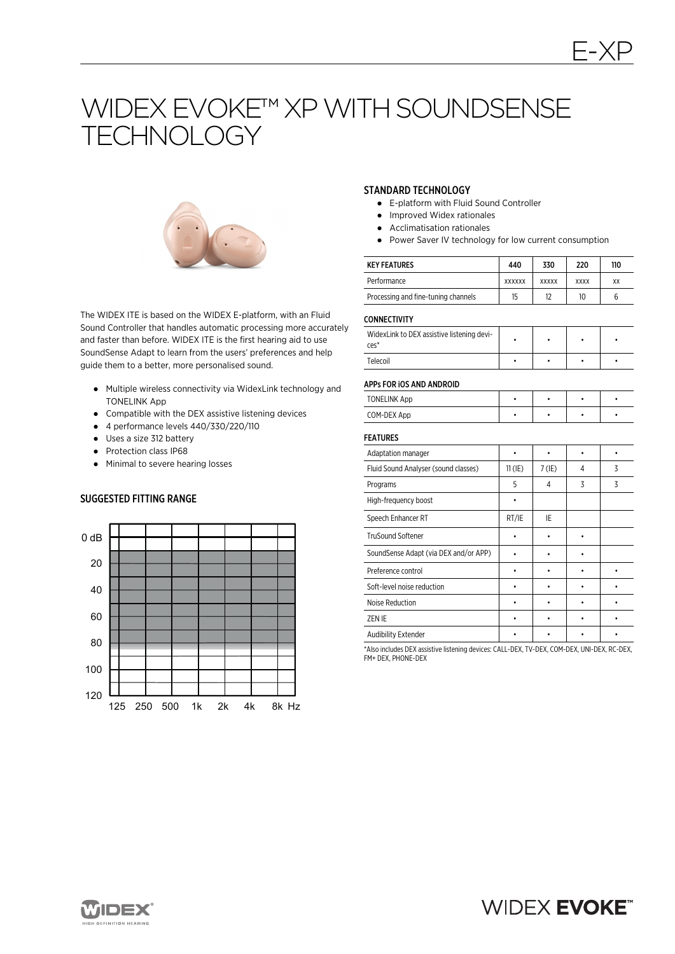# WIDEX EVOKE™ XP WITH SOUNDSENSE TECHNOLOGY



The WIDEX ITE is based on the WIDEX E-platform, with an Fluid Sound Controller that handles automatic processing more accurately and faster than before. WIDEX ITE is the first hearing aid to use SoundSense Adapt to learn from the users' preferences and help guide them to a better, more personalised sound.

- Multiple wireless connectivity via WidexLink technology and TONELINK App
- Compatible with the DEX assistive listening devices
- 4 performance levels 440/330/220/110
- Uses a size 312 battery
- Protection class IP68
- Minimal to severe hearing losses

# SUGGESTED FITTING RANGE



#### STANDARD TECHNOLOGY

- E-platform with Fluid Sound Controller
- Improved Widex rationales
- Acclimatisation rationales
- Power Saver IV technology for low current consumption

| <b>KEY FEATURES</b>                 | 440           | 330          | 220         | 110 |
|-------------------------------------|---------------|--------------|-------------|-----|
| Performance                         | <b>XXXXXX</b> | <b>XXXXX</b> | <b>XXXX</b> | XX  |
| Processing and fine-tuning channels | 15            | 12           | 10          | b   |

#### **CONNECTIVITY**

| -------------                                                |  |  |  |  |
|--------------------------------------------------------------|--|--|--|--|
| WidexLink to DEX assistive listening devi-<br>$\text{ces}^*$ |  |  |  |  |
| Telecoil                                                     |  |  |  |  |

#### APPs FOR iOS AND ANDROID

| <b>TONELINK App</b> |  |  |
|---------------------|--|--|
| COM-DEX App         |  |  |

#### FEATURES

| Adaptation manager                    |           |          |   |   |
|---------------------------------------|-----------|----------|---|---|
| Fluid Sound Analyser (sound classes)  | $11$ (IE) | $7$ (IE) | 4 | 3 |
| Programs                              | 5         | 4        | 3 | 3 |
| High-frequency boost                  |           |          |   |   |
| Speech Enhancer RT                    | RT/IE     | IE       |   |   |
| <b>TruSound Softener</b>              |           |          |   |   |
| SoundSense Adapt (via DEX and/or APP) |           |          |   |   |
| Preference control                    |           |          |   |   |
| Soft-level noise reduction            |           |          |   |   |
| Noise Reduction                       |           |          |   |   |
| ZEN IE                                |           |          |   |   |
| Audibility Extender                   |           |          |   |   |

\*Also includes DEX assistive listening devices: CALL-DEX, TV-DEX, COM-DEX, UNI-DEX, RC-DEX, FM+ DEX, PHONE-DEX